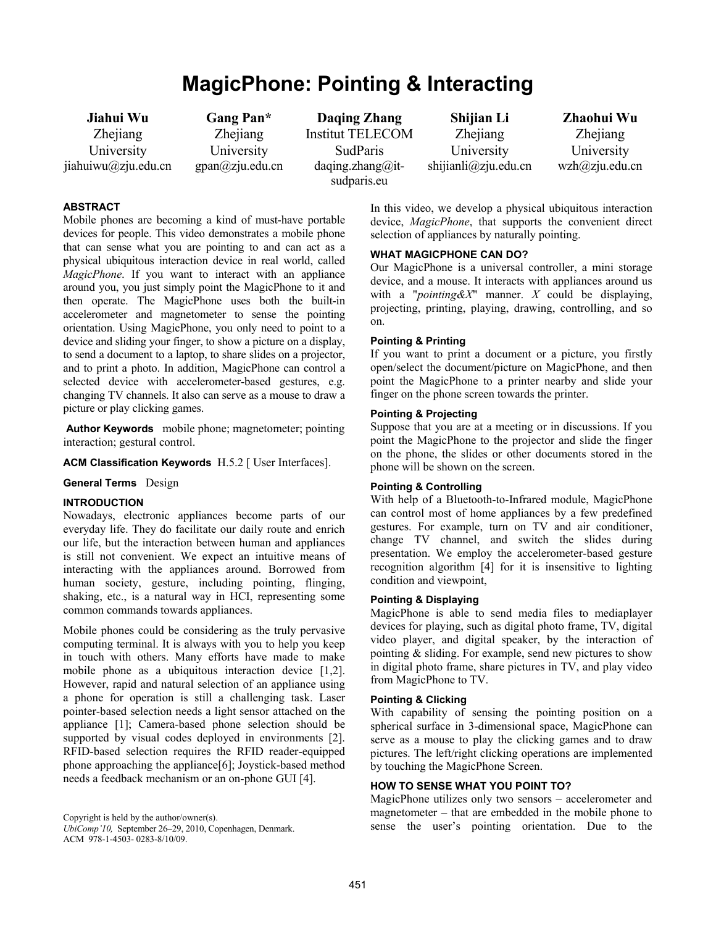# **MagicPhone: Pointing & Interacting**

**Jiahui Wu Zhejiang** University jiahuiwu@zju.edu.cn

**Gang Pan\***  Zhejiang University gpan@zju.edu.cn

**Daqing Zhang**  Institut TELECOM SudParis  $daqing_zhang@it$ sudparis.eu

**Shijian Li**  Zhejiang University shijianli@zju.edu.cn

**Zhaohui Wu**  Zhejiang University wzh@zju.edu.cn

## **ABSTRACT**

Mobile phones are becoming a kind of must-have portable devices for people. This video demonstrates a mobile phone that can sense what you are pointing to and can act as a physical ubiquitous interaction device in real world, called *MagicPhone*. If you want to interact with an appliance around you, you just simply point the MagicPhone to it and then operate. The MagicPhone uses both the built-in accelerometer and magnetometer to sense the pointing orientation. Using MagicPhone, you only need to point to a device and sliding your finger, to show a picture on a display, to send a document to a laptop, to share slides on a projector, and to print a photo. In addition, MagicPhone can control a selected device with accelerometer-based gestures, e.g. changing TV channels. It also can serve as a mouse to draw a picture or play clicking games.

 **Author Keywords** mobile phone; magnetometer; pointing interaction; gestural control.

#### **ACM Classification Keywords** H.5.2 [ User Interfaces].

#### **General Terms** Design

#### **INTRODUCTION**

Nowadays, electronic appliances become parts of our everyday life. They do facilitate our daily route and enrich our life, but the interaction between human and appliances is still not convenient. We expect an intuitive means of interacting with the appliances around. Borrowed from human society, gesture, including pointing, flinging, shaking, etc., is a natural way in HCI, representing some common commands towards appliances.

Mobile phones could be considering as the truly pervasive computing terminal. It is always with you to help you keep in touch with others. Many efforts have made to make mobile phone as a ubiquitous interaction device [1,2]. However, rapid and natural selection of an appliance using a phone for operation is still a challenging task. Laser pointer-based selection needs a light sensor attached on the appliance [1]; Camera-based phone selection should be supported by visual codes deployed in environments [2]. RFID-based selection requires the RFID reader-equipped phone approaching the appliance[6]; Joystick-based method needs a feedback mechanism or an on-phone GUI [4].

*UbiComp'10,* September 26–29, 2010, Copenhagen, Denmark. ACM 978-1-4503- 0283-8/10/09.

In this video, we develop a physical ubiquitous interaction device, *MagicPhone*, that supports the convenient direct selection of appliances by naturally pointing.

# **WHAT MAGICPHONE CAN DO?**

Our MagicPhone is a universal controller, a mini storage device, and a mouse. It interacts with appliances around us with a "*pointing&X*" manner. *X* could be displaying, projecting, printing, playing, drawing, controlling, and so on.

# **Pointing & Printing**

If you want to print a document or a picture, you firstly open/select the document/picture on MagicPhone, and then point the MagicPhone to a printer nearby and slide your finger on the phone screen towards the printer.

#### **Pointing & Projecting**

Suppose that you are at a meeting or in discussions. If you point the MagicPhone to the projector and slide the finger on the phone, the slides or other documents stored in the phone will be shown on the screen.

#### **Pointing & Controlling**

With help of a Bluetooth-to-Infrared module, MagicPhone can control most of home appliances by a few predefined gestures. For example, turn on TV and air conditioner, change TV channel, and switch the slides during presentation. We employ the accelerometer-based gesture recognition algorithm [4] for it is insensitive to lighting condition and viewpoint,

# **Pointing & Displaying**

MagicPhone is able to send media files to mediaplayer devices for playing, such as digital photo frame, TV, digital video player, and digital speaker, by the interaction of pointing  $&$  sliding. For example, send new pictures to show in digital photo frame, share pictures in TV, and play video from MagicPhone to TV.

#### **Pointing & Clicking**

With capability of sensing the pointing position on a spherical surface in 3-dimensional space, MagicPhone can serve as a mouse to play the clicking games and to draw pictures. The left/right clicking operations are implemented by touching the MagicPhone Screen.

# **HOW TO SENSE WHAT YOU POINT TO?**

MagicPhone utilizes only two sensors – accelerometer and magnetometer – that are embedded in the mobile phone to Copyright is held by the author/owner(s).<br>
Copyright is held by the author/owner(s).<br>
ChiComp'l0, Sentember 26–29–2010, Copenhagen Denmark<br>
Sense the user's pointing orientation. Due to the